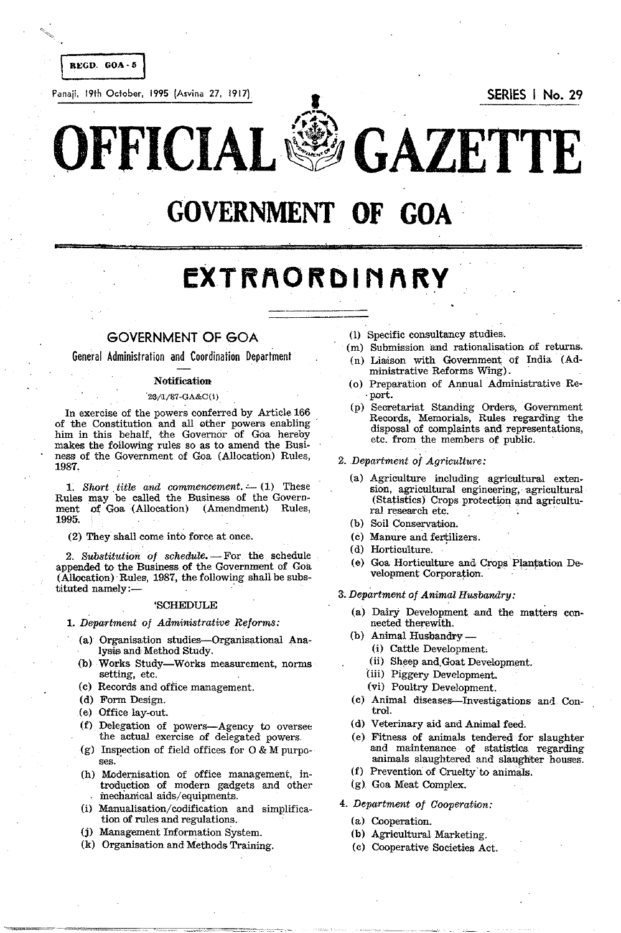Panaji, 19th October, 1995 (Asvina 27, 1917) I SERIES I No. 29

 $\widehat{\mathbb{G}}$ OFFICIAL~ **GAZETTE** 

# **GOVERNMENT OF GOA**

# $EXTRACRD INARY$

# GOVERNMENT OF GOA

General Administration and Coordination Department

# Notification

### '23/<1/87·GA&C(i)

In exercise of the powers conferred by Article 166 of the Constitution and all other powers enabling him in this behalf, the Governor of Goa hereby makes the following rules so as to amend the Business of the Government of Goa (Allocation) Rules, 1987.

1. Short title and commencement. - (1) These Rules may be called the Business of the Govern-<br>ment of Goa (Allocation) (Amendment) Rules, ment of Goa  $(A$ llocation) 1995.

(2) They shall come into force at onee.

2. Substitution of schedule. - For the schedule appended to the Business of the GOvernment of Goa (Allocation) Rules, 1987, the following shall be subs-<br>tituted namely:—

#### 'SCHEDULE

#### *1. Department of Administrative Reforms:*

- (a) Organisation studies-Organisational Analysis and Method Study.
- (b) Works Study-Works measurement, norms setting, etc.
- (c) Records and office management.
- (d) Form Design.
- (e) Office lay-out.
- (f) Delegation of powers-Agency to oversee the actual exercise of delegated powers.
- (g) Inspection of field offices for  $0 & M$  purposes.
- (h) Modernisation of office management, introduction of modern gadgets and other mechanical aids/ equipments.
- (i) Manualisation/ codification and simplification of rules and regulations.
- (j) Management Information System.
- (k) Organisation and Methods Training.
- (I) Specific consultancy studies.
- (m) Submission and rationalisation *Df* returns.
- (n) Liaison with GOvernment of India (Administrative Reforms Wing).
- (0) Preparation of Annual Administrative Re- ,port. '
- (p) Secretariat Standing Orders, Government Records, Memorials, Rules regarding the disposal of complaints and representations, etc. from the members of public.
- *2. Department of Agriculture:* 
	- (a) Agriculture including agricultural extension, agricultural engineering, agricultural (Statistics) Crops protection and agricultural research etc.
	- (b) Soil Conservation.
	- (c) Manure and fertilizers.
	- (d) Horticulture.
	- (e) Goa Horticulture and Crops Plantation Development Corporation.
- 3. Department of **Animal Husbandry:** 
	- (a) Dairy Development and the matters connected therewith.
	- (b) Animal Husbandry -
		- (i) Cattle Development,
		- (ii) Sheep and Goat Development.
		- (iii) Piggery Development.
		- (vi) Poultry Development.
	- (c) Animal diseases-Investigations and Control.
	- (d) Veterinary aid and Animal feed.
	- (e) Fitness of animals tendered for slaughter and maintenance of statistics regarding animals slaughtered and slaughter houses.
	- (f) Prevention of Cruelty to animals.
	- (g) Goa Meat Complex.
- *4. Department of Cooperation:* 
	- (a) Cooperation.
	- (b) Agricultural Marketing.
	- (c) Cooperative Societies Act.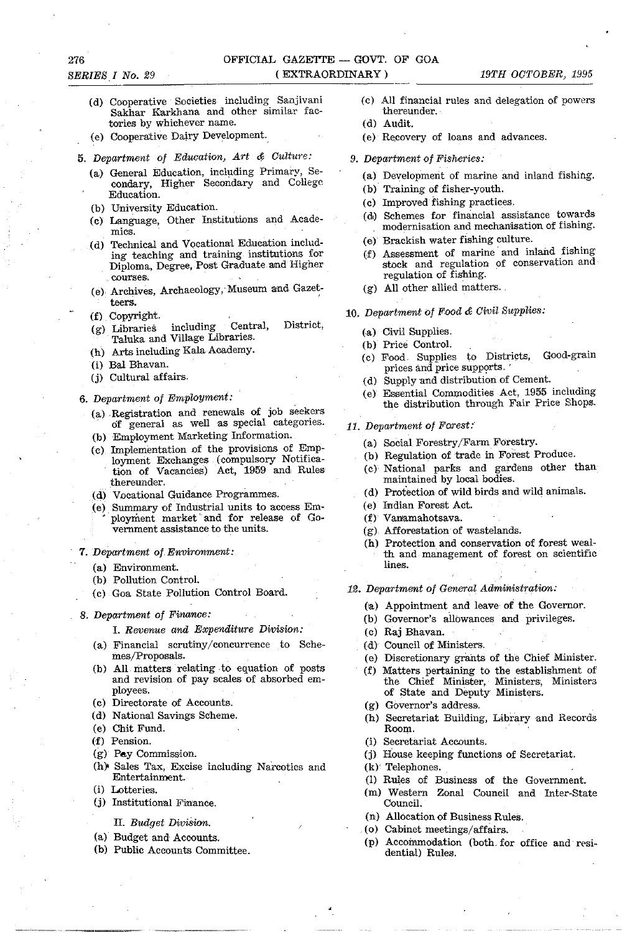- (d) Cooperative Societies including Sanjivani Sakhar Karkhana and other similar factories by whichever name.
- (e) Cooperative Dairy Development.
- **5.** Department of Education, Art & Culture:
	- (a) General Education, including Primary, Secondary, Higher Secondary and College Education.
	- (b) University Education.
	- (c) Language, Other Institutions and Acade**mics.**
	- (d) Technical and Vocational Education including teaching and training institutions for Diploma, Degree,Post Graduate and Higher courses.
	- (e) Archives, Archaeology, Museum and Gazetteers.
	- (f) Copyright.
	- (g) Libraries including Central, District, Taluka and Village Libraries.
	- (h) Arts including Kala Academy.
	- (i) Bal Bhavan.
	- (j) Cultural affairs,
- 6. Department of Employment:
	- (a) Registration and renewals of job seekers of general as well as special categories.
	- (b) Employment Marketing Information.
	- (c) Implementation of the provisions of Employment Exchanges (compulsory Notification of Vacancies) Act, 1959 and Rules thereunder,
	- (d) Vocational Guidance Programmes.
	- (e) , Summary of Industrial units to access Em ployment market and for release of Government assistance to the units.
- *7.* Department of-Environment:
	- (a) Environment.
	- (b) Pollution Control.
	- (c) Goa State Pollution Control Board.
- 8. Department of Finance:

1. Revenue and Expenditure Division:

- (a) Financial scrutiny/concurrence to Schemes/Proposals.
- (b) All matters relating to equation of posts and revision of pay scales of absorbed employees.
- (c) Directorate of Accounts.
- (d) National Savings Scheme.
- (e) Chit Fund.
- (f) Pension.
- (g) Pay Commission.
- (h) Sales Tax, Excise including Narcotics and Entertainment.
- (i) Lotteries.
- (j) Institutional Finance.
	- II. Budget Division.
- (a) Budget and Accounts.
- (b) Public Accounts Committee.
- (c) All financial rules and delegation of powers thereunder.
- (d) Audit.
- (e) Recovery of loans and advances.
- 9. Department of Fisheries:
	- (a) Development of marine and inland fishing.
	- (b) Training of fisher-youth.
	- (c) Improved fishing practices.
	- (d,) Schemes for financial assistance towards modernisation and mechanisation of fishing.
	- (e) Brackish water fishing culture.
	- (f) Assessment of marine and inland fishing stock and regulation of conservation and regulation of fishing.
	- (g) All other allied matters.
- 10. Department of Food & Civil Supplies:
	- (a) Civil Supplies.
	- (b) Price Control.
	- (c) Food Supplies to Districts, Good-grain prices and price supports.
	- (d) Supply and distribution of Cement.
	- (e) Essential Commodities Act, 1955 inciuding the distribution through Fair Price Shops.
- 11. Department of Forest:
	- (a) Social Forestry/Farm Forestry.
	- (b) Regulation of trade in Forest Produce.
	- (c)' National parks and gardens other than maintained by local bodies.
	- (d) Protection of wild birds and wild animals.
	- (e) Indian Forest Act.
	- (f) Vanamahotsava.
	- (g) Afforeststion of wastelands.
	- (h) Protection and conservation of forest wealth and management of forest on scientific lines.
- 12. Department of General Administration:
	- (a) Appointment and leave' of the Governor.
	- (b) Governor's allowances and privileges.
	- (c) Raj Bhavan.
	- (d) Council of Ministers.
	- (e) Discretionary grants of the Chief Minister.
	- (f) Matters pertaining to the establishment of the Chief Minister, Ministers, Ministers of State and Deputy Ministers.
	- (g) Governor's address.
	- (h) Secretariat Building, Library and Records Room.
	- (i) Secretariat Accounts.
	- (j) House keeping functions of Secretariat.
	- (k)' Telephones.
	- (1) Rules of Business of the Government.
	- (m) Western Zonal Council and Inter-State Council.
	- (n) Allocation of Business Rules.
	- (0) Cabinet meetings/affairs.
	- (p) Accoinmodation (both for office and residential) Rules.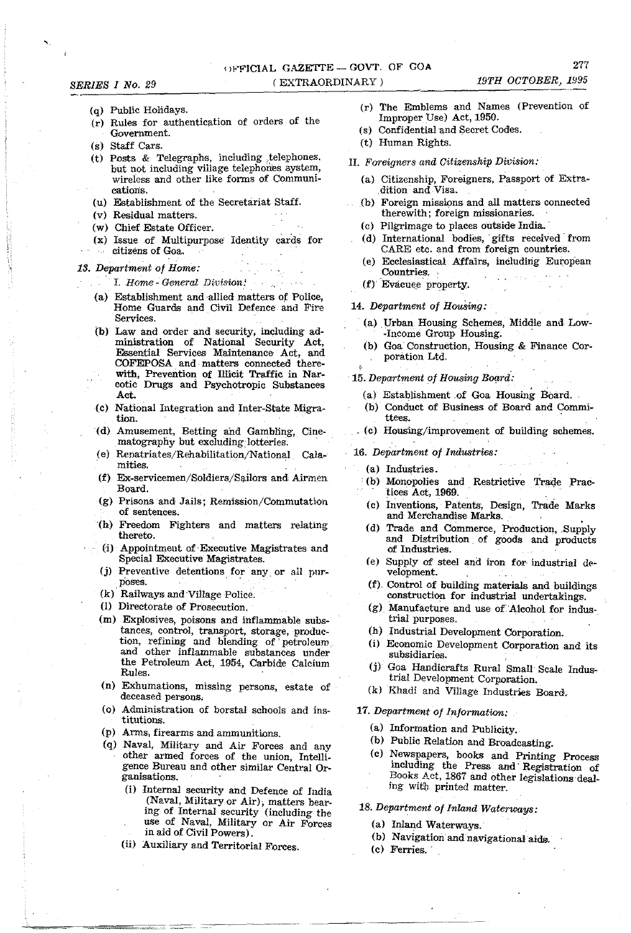- *SERIES I No. 29* 
	- (q) Public Holidays.
	- (r) Rules for authentication of orders of the Government.
	- (s) Staff Cars.
	- (t) Posts & Telegraphs, including ,telephones. but not including village telephones system, wireless and other like forms of Communioations.
	- (u) Establishment of the Secretariat Staff.
	- (v) Residual matters.
	- (w) Chief Estate Officer.
	- (x) Issue of Multipurpose Identity cards for citizens of Goa.

#### *13. Department of Home:*

- I. *Home General Division:*
- (a) Establishment and ·allied matters of Police, Home Guards and Civil Defence and Fire **Services**
- (b) Law and order and security, including administration of National Security Act, Essential Services Maintenance Act, and COFEPOSA and, matters connected therewith, Prevention of Illicit Traffic in Narcotic Drugs and Psychotropic Substances Act.
- (c) National Integration and Inter-State Migration.
- (d) Amusement, Betting and Gambling, Cinematography but excluding lotteries.
- (e) Repatriates/Rehabilitation/National Calamities.
- (f) Ex-servicemen/Soldiers/Sailors and Airmen Board.
- (g) Prisons and Jails; Remission/Commutation of sentences.
- (h) Freedom Fighters and matters relating thereto.
- (i) Appointment of, Executive Magistrates and Special Executive Magistrates.
- (j) Preventive detentions. for any, or all purposes.
- (k)' Railways and Village Police.
- (I) Directorate of Prosecution.
- $(m)$  Explosives, poisons and inflammable substances, control, transport, storage, production, refining and blending of' petroleum and other inflammable substances under the Petroleum Act, 1954, Carbide Calcium Rules.
- (n) Exhumations, missing persons, estate of deceased persons.
- (0) Administration of borstal schools and institutions.
- (p) Arms, firearms and ammunitions.
- (q) Naval, Military and Air Forces and any other armed forces of the union, Intelligence Bureau and other similar Central Organisations.
	- (i) Internal security and Defence of India (Naval, Military or Air); matters bearing of Internal security (including the use of Naval, Military or Air Forces in aid of Civil Powers).
	- (ii) Auxiliary and Territorial Forces.
- (r) The Emblems and Names (Prevention of Improper Use) Act, 1950.
- (s) Confidential and Secret Codes.
- (t) Human Rights.
- II. *Foreigners and Citizenship Division:* 
	- (a) Citizenship, Foreigners, Passport of Extra dition and Visa.
	- (b) Foreign missions and all matters connected therewith; foreign missionaries.
	- (c) Pilgrimage to places outside India. '
	- (d) International bodies, gifts received from CARE etc. and from foreign countries.
	- (e) Ecclesiastical Affairs, including European Countries.
	- (f) Evacuee property.

#### *14. Department of HouSing:*

- (a) Urban Housing Schemes, Middle and Low--Income Group Housing. .
- (b) Goa Construction, Housing & Finance Corporation Ltd.
- , 15. *Department of Housing Board:* 
	- (a) Establishment of Goa Housing Board.
	- (b) Conduct of Business of Board and Committees. .
	- (c) Housing/improvement of building schemes.
- *16. Department of Industries:* 
	- (a) Industries.
	- (b} Monopolies and Restrictive Trade Practices Act, 1969. '
	- (c) Inventions, Patents, Design, Trade Marks and Merchandise Marks.
	- (d) Trade and Commerce, Production, Supply and Distribution of goods and products of Industries.
	- (e) Supply of steel and iron for industrial development.
	- (f). Control of building materials and buildings construction for industrial undertakings.
	- (g) Manufacture and use of'Alcohol for industrial purposes.
	- (h) Industrial Development Corporation.
	- (i) Economic Development Corporation and its subsidiaries.
	- (j) Goa Handicrafts Rural Small Scale Indus. trial Development Corporation.
	- (k) Khadi and Village Industries Board.
- *17. Department Of Information:* 
	- (a) Information and Publicity.
	- (b) Public Relation and Broadcasting.
	- (c) Newspapers, books and Printing Process including the Press and' Registration of Books Act, 1867 and other legislations dealing with printed matter.
- *18. Department of Inland Waterways:* 
	- (a) Inland Waterways.'
	- (b) Navigation and navigational aids.
	- (c) Ferries."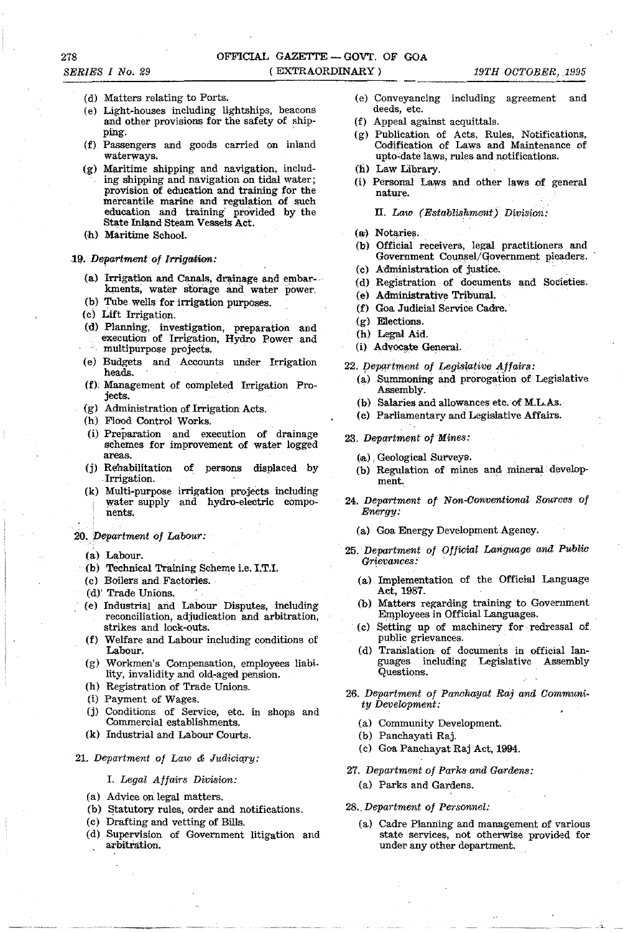278

- (d) Matters relating to Ports.
- (e) Light-houses including lightships, beacons and other provisions for the safety of ship-<br>ping.
- (f) Passengers and goods carried on inland waterways.
- (g) Maritime shipping and navigation, including shipping and navigation on tidal water; provision of education and training for the mercantile marine and regulation of such education and training' provided by the State Inland Steam Vessels Act.
- (h) Maritime School.

#### 19. Department of Irrigation:

- (a) Irrigation and Canals, drainage and embar-kments, water storage and water power.
- (b) Tube wells for irrigation purposes.
- (c) Lift Irrigation.
- (d) Planning, investigation, preparation and execution of Irrigation, Hydro Power and multipurpose projects.
- (e) Budgets and Accounts under Irrigation heads.
- (f), Management of completed Irrigation Proiects.
- (g) Administration of Irrigation Acts.
- (h) Flood Control' Works.
- (i) Preparation and execution of drainage schemes for improvement of water logged areas.
- (j) Rehabilitation of persons displaced by Irrigation.
- (k) Multi-purpose irrigation projects including water supply and hydro-electric components.
- *20. Department* of *Labour:* 
	- (a) Labour.
	- (b) Technical Training Scheme i.e. I.T.I.
	- (c) Boilers and Factories.
	- (d)' Trade Unions.
	- (e) Industrial and Labour Disputes, including reconciliation, adjudication and arbitration, strikes and lock-outs.
	- (f) Welfare and Labour including conditions of Labour.
	- (g) Workmen's Compensation, employees liability, invalidity and old-aged pension.
	- (h) Registration of Trade Unions.
	- (i) Payment of Wages.
	- (j) Conditions of Service, etc. in shops and Commercial establishments.
	- (k) Industrial and Labour Courts.

## 21. Department of Law & Judiciary:

# *I. Legal Affairs Division:*

- (a) Advice on legal matters.
- (b) Statutory rules, order and notifications.
- (c) Drafting and vetting of Bills.
- (d) Supervision of Government litigation and arbitration.
- (e) Conveyancing including agreement and deeds, etc.
- (f) Appeal against acquittals.
- (g) Publication of Acts, Rules, Notifications, Codification of Laws and Maintenance of upto-date laws, rules and notifications.
- (h) Law Library.
- (i) Personal Laws and other laws of general nature.
	- ll. *Law (Establishment) Division:*
- (ai) Notaries.
- (b) Official receivers, legal practitioners and Government Counsel/qovernment pleaders.
- (c) Administration of justice.
- (d) Registration of documents and Societies.
- (e) Administrative Tribunal.
- (f) Goa. Judicial Service Cadre.
- (g) Elections.
- (h) Legal Aid.
- (i) Advocate General.
- 22. Department of Legislative Affairs:
	- (a) Summoning and prorogation of Legislative Assembly.
	- (b) Salaries and allowances etc. of M.L.As.
	- (c) Parliamentary and Legislative Affairs.
- *23. Department of Mines:* 
	- (a) Geological Surveys.
	- (b) Regulation of mines and mineral development.
- *24. Department* of *Non-Conventional Sources of Energy:* 
	- (a) Goa Energy Development Agency.
- *25. Department of Official Language and Public Grievances* .'
	- (a) Implementation of the Official Language Act, 1987.
	- (b) Matters regarding training to Government Employees in Official Languages.
	- , (c) Setting up of machinery for redressal of public grievances.
	- (d) Translation of documents in official languages including Legislative Assembly Questions.
- *26. Department Of Panchayat Raj and Community Development:* 
	- (a) Community Development.
	- (b) Panchayati Raj.
	- (c) Goa Panchayat Raj Act, 1994.
- *27. Department of Parks and Gardens:* 
	- (a) Parks and Gardens.

#### *28., Department of Personnel:*

(a) Cadre Plamiing and management of various state services, not otherwise provided for under any other department.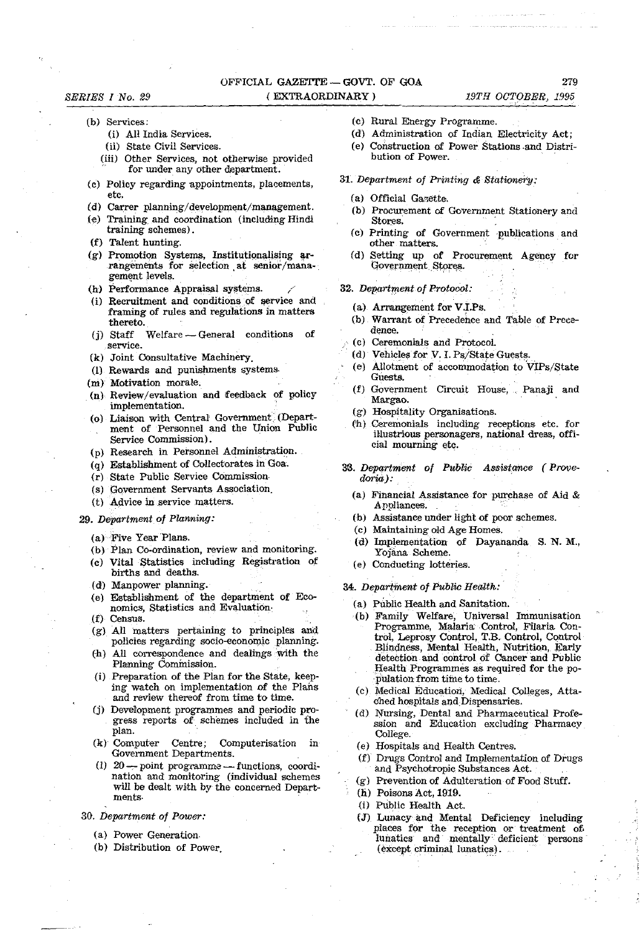# OFFICIAL GAZETTE - GOVT. OF GOA ( EXTRAORDINARY)

#### *SERIES I No. 29*

# (b) Services:

- (i) All India Services.
- (ii) State Civil Services.
- (iii) Other Services, not otherwise provided for under any other department.
- (c) Policy regarding appointments, placements, etc.
- Cd) Carrer planning/development/management.
- (e) Training and coordination (including Hindi training schemes).
- (f) Talent hunting.
- (g) Promotion Systems, Institutionalising  $ar$ rangements for selection at senior /management levels.
- (h) Performance Appraisal systems.
- (i) Recruitment and conditions of service and framing of rules and regulations in matters thereto.
- (j) Staff Welfare General conditions of **service.**
- (k) Joint Consultative Machinery.
- (1) Rewards and punishments systems
- (m) Motivation morale.
- (n) Review/evaluation and feedback of policy implementation.
- (o) Liaison with Central Government. (Department of Personnel and the Union Public Service Commission).
- (p) Research in Personnel Administration.
- (q) Establishment of Collectorates in Goa.
- (r) State Public Service Commission·
- (s) Government Servants Association.
- (t) Advice in service matters.

## 29. Department of Planning:

- $(a)$  Five Year Plans.
- (b) Plan Co-ordination, review and monitoring.
- (c) Vital Statistics including Registration of births and deaths.
- (d) Manpower planning.
- (e) Establishment of the department of Economics, Statistics and Evaluation,
- (f) Census.
- (g) All matters pertaining to principles and policies regarding socio-economic planning.
- (h) All correspondence and dealings with the Planning Commission.
- (i) Preparation of the Plan for the State, keeping watch on implementation of the Plans and review thereof from time to time.
- (j) Development programmes and periodic progress reports of schemes included in the plan.
- (k)' Computer Centre; Computerisation in Government Departments.
- (1)  $20$  point programme functions, coordination and monitoring (individual schemes will be dealt with by the concerned Departments·

# 30. Department of Power:

- (a) Power Generation·
- (b) Distribution of Power.
- (c) Rural Energy Programme.
- (d) Administration of Indian Electricity Act;
- (e) Construction of Power Stations ·and Distribution of Power.

## 31. Department *01* Printing & Stationery.:

- (a) Official Gazette.
- (b) Procurement of Government Stationery and Stores.
- (c) Printing of Government 'publications and Stores.<br>Stores.<br>Printing of Government publication.
- (d) Setting up of Procurement Agency for Government Stores.
- *32.* Departwent of Protoool:
	- (a) Arrangement for V.LPs.
	- (b) Warrant of Precedence and Table of Precedence.
	- .. (c) Ceremonials and *Protocol.*
	- (d) Vehicles for V. I. Ps/State Guests.
	- (e) Allotment of accommodation to'VIPs/State Guests.
	- (f) Government Circuit House, Panaji and Margao.
	- (g) Hospitality Organisations.
	- ('h) ceremonials including receptions etc. for illustrious personagers, national dress, official mourning etc.
- 33. Department of Public Assistance (Prove*doria): .* 
	- (a) Financial Assistance for purchase of Aid  $\&$ Appliances. .
	- (b) Assistance under light of poor schemes.
	- (c) Maintaining old Age Homes.
	- (d) Implementation of Dayananda S. N. M., Yojana. Scheme.
	- (e) Conducting lotteries.

## 34. Department of Public Health:

- (a) Public Health and Sanitation.
- (b) Family Welfare, UniVersal Immunisation Programme, Malaria ·Control, Filaria Control, Leprosy Control, T.R Control, Control Blindness, Mental Health, Nutrition, Early detection and control of Cancer and Public Health Programmes as required for the population from time to time.
- (c) Medical Education, Medical Colleges, Attached hospitals and Dispensaries.
- (d) Nursing, Dental and Pharmaceutical Profession and Education excluding Pharmacy College.
- (e) Hospitals and Health Centres.
- $(f)$  Drugs Control and Implementation of Drugs and Psychotropic Substances Act.
- (g) Prevention of Adulteration of Food Stuff.
- (h) Poisons Act, 1919.
- (i) Public Health Act.
- (J) Lunacy and Mental Deficiency including places for the reception or treatment of. lunatics and mentally deficient persons (except criminal lunatics).

*19TH OCTOBER, 1.995*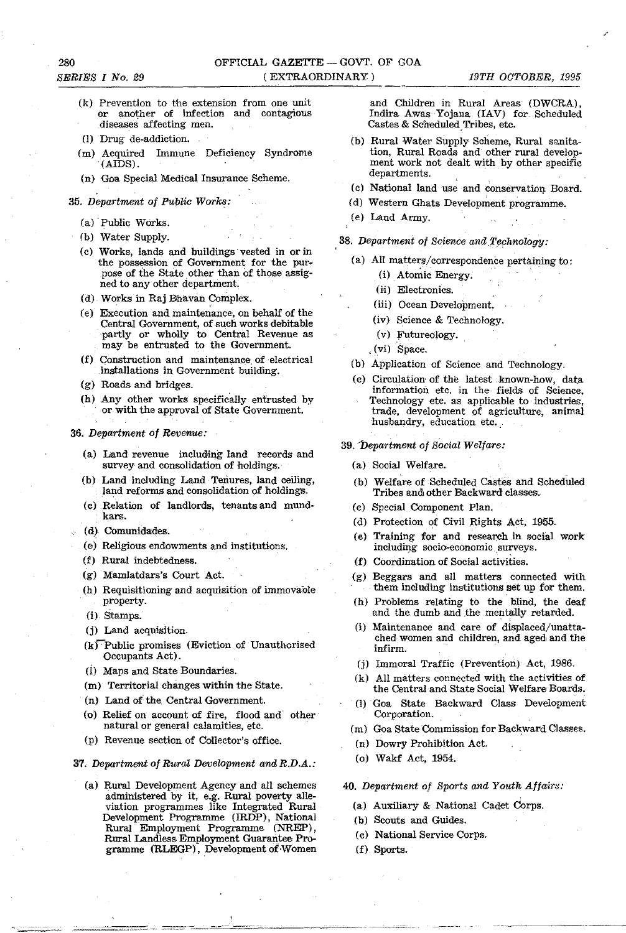- (k) Prevention to the extension from one unit or another of infection and contagious diseases affecting men.
- (I) Drug de-addiction.
- (m) Acquired Immune Deficiency Syndrome (AIDS).
- (n) Goa Special Medical Insurance Scheme.
- *35. Department of Public Works:* 
	- (a) 'Public Works.
	- (b) Water Supply.
	- (c) Works, lands and buildings'vested in orin the possession of Government for the pur. pose of the State other than of those assigned to any other department,
	- (d) Works in Raj Bhavan Complex.
	- (e) Execution and maintenance, on behalf of the Central Government, of such works debitable 'partly or wholly to Central Revenue as may be entrusted to the Government.
	- (f) Construction and maintenance of electrical installations in Government building.
	- (g) Roads and bridges.
	- (h) Any other works specifically entrusted by or with the approval of State Government.
- *36. Department of Revenue:* 
	- (a) Land revenue including land records and survey and consolidation of holdings.
	- (b) Land including Land Tenures, land ceiling, land reforms and consolidation of holdings.
	- (c) Relation of landlords, tenants and mundkars.
	- (d) Comunidades.
	- (e) Religious endowments and institutions.
	- (f) Rural indebtedness.
	- (g) Mamlatdars's Court Act.
	- (h) Requisitioning and acquisition of immovable property.
	- (i) Stamps.
	- (j) Land acquisition.
	- $(k)$  Public promises (Eviction of Unauthorised Occupants Act).
	- (i) Maps and State Boundaries.
	- (m) Territorial changes within the State.
	- (n) Land *ot* the, Central Government.
	- (0) Relief on account of fire, flood and other natural or general calamities, etc.
	- (p) Revenue section of Collector's office.

#### 37. *Department of Rural Development andR.D.A.:*

(a) Rural Development Agency and all schemes administered by it, e.g. Rural poverty alleviation programmes like Integrated Rural Development Programme (IRDP), National Rural Employment Programme (NREP), Rural Landless Employment Guarantee Programme (RLEGP), Development of Women

and Children in Rural Areas (DWCRA), Indira Awas Yojana (fAV) for Scheduled Castes & Scheduled,Tribes, etc.

- (b) Rural Water Supply Scheme, Rural sanitation, Rural Roads and other rural development work not dealt with by other specific departments.
- (c) National land use and conservation Board.
- (d) Western Ghats Development programme.
- (e) Land Army.
- 38. Department of Science and Technology:
	- (a) All matters/correspondence pertaining to:
		- (i) Atomic Energy.
		- (ii) Electronics.
		- (iii) Ocean Development.
		- (iv) Science & Technology.
		- $(v)$  Futureology.
		- ,(vi) Space.
	- (b) Application of Science and Technology,
	- (c) Circulation of the latest ,known-how, data information etc. in the fields of Science. Technology etc. as applicable to' industries. trade, development of agriculture, animal husbandry, education etc.
- 39. Department of Social Welfare:
	- (a) Social Welfare.
	- (b) Welfare of Scheduled Castes and Scheduled Tribes and other Backward classes.
	- (c) Special Component Plan.
	- (d) Protection of Civil Rights Act, 1955.
	- (e) Training for and research in social work including socio-economic surveys.
	- (f) Coordination of Social activities.
	- (g) Beggars and all matters connected with them including institutions set up for them.
	- (h) Problems relating to the blind, the deaf and the dumb and the mentally retarded.
	- (i) Maintenance and care of displaced/unattached women and children, and aged and the infirm.
	- (j) Immoral Traffic (Prevention) Act, 1986.
	- $(k)$  All matters connected with the activities of the Central and State Social Welfare Boards.
	- (1) Goa State Backward Class Development Corporation.
	- (m) Goa State Commission for Backward Classes.
	- (n) Dowry Prohibition Act.
	- (0) Wakf Act, 1954.

#### 40. Department of Sports and Youth Affairs:

- (a) Auxiliary & National Cadet Corps,
- (b) Scouts and Guides.
- (c) National Service Corps.
- (f) Sports.